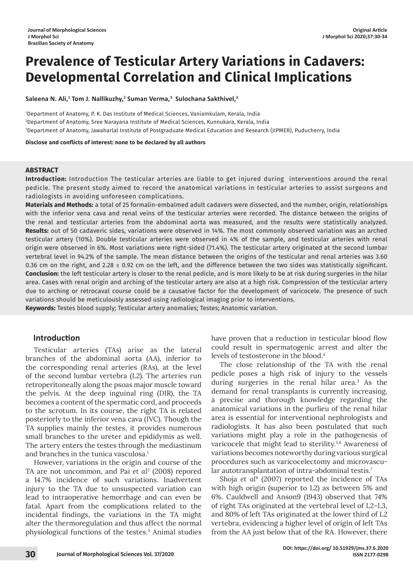# **Prevalence of Testicular Artery Variations in Cadavers: Developmental Correlation and Clinical Implications**

**Saleena N. Ali,1 Tom J. Nallikuzhy,2 Suman Verma,3 Sulochana Sakthivel,3**

1 Department of Anatomy, P. K. Das Institute of Medical Sciences, Vaniamkulam, Kerala, India 2 Department of Anatomy, Sree Narayana Institute of Medical Sciences, Kunnukara, Kerala, India 3 Department of Anatomy, Jawaharlal Institute of Postgraduate Medical Education and Research (JIPMER), Puducherry, India

**Disclose and conflicts of interest: none to be declared by all authors**

### **ABSTRACT**

**Introduction:** Introduction The testicular arteries are liable to get injured during interventions around the renal pedicle. The present study aimed to record the anatomical variations in testicular arteries to assist surgeons and radiologists in avoiding unforeseen complications.

**Materials and Methods:** a total of 25 formalin-embalmed adult cadavers were dissected, and the number, origin, relationships with the inferior vena cava and renal veins of the testicular arteries were recorded. The distance between the origins of the renal and testicular arteries from the abdominal aorta was measured, and the results were statistically analyzed. **Results:** out of 50 cadaveric sides, variations were observed in 14%. The most commonly observed variation was an arched testicular artery (10%). Double testicular arteries were observed in 4% of the sample, and testicular arteries with renal origin were observed in 6%. Most variations were right-sided (71.4%). The testicular artery originated at the second lumbar vertebral level in 94.2% of the sample. The mean distance between the origins of the testicular and renal arteries was 3.60 0.36 cm on the right, and 2.28  $\pm$  0.92 cm on the left, and the difference between the two sides was statistically significant. **Conclusion:** the left testicular artery is closer to the renal pedicle, and is more likely to be at risk during surgeries in the hilar area. Cases with renal origin and arching of the testicular artery are also at a high risk. Compression of the testicular artery due to arching or retrocaval course could be a causative factor for the development of varicocele. The presence of such variations should be meticulously assessed using radiological imaging prior to interventions.

**Keywords:** Testes blood supply; Testicular artery anomalies; Testes; Anatomic variation.

## **Introduction**

Testicular arteries (TAs) arise as the lateral branches of the abdominal aorta (AA), inferior to the corresponding renal arteries (RAs), at the level of the second lumbar vertebra (L2). The arteries run retroperitoneally along the psoas major muscle toward the pelvis. At the deep inguinal ring (DIR), the TA becomes a content of the spermatic cord, and proceeds to the scrotum. In its course, the right TA is related posteriorly to the inferior vena cava (IVC). Though the TA supplies mainly the testes, it provides numerous small branches to the ureter and epididymis as well. The artery enters the testes through the mediastinum and branches in the tunica vasculosa.<sup>1</sup>

However, variations in the origin and course of the TA are not uncommon, and Pai *et al*<sup>2</sup> (2008) repored a 14.7% incidence of such variations. Inadvertent injury to the TA due to unsuspected variation can lead to intraoperative hemorrhage and can even be fatal. Apart from the complications related to the incidental findings, the variations in the TA might alter the thermoregulation and thus affect the normal physiological functions of the testes.3 Animal studies have proven that a reduction in testicular blood flow could result in spermatogenic arrest and alter the levels of testosterone in the blood.4

The close relationship of the TA with the renal pedicle poses a high risk of injury to the vessels during surgeries in the renal hilar area.3 As the demand for renal transplants is currently increasing, a precise and thorough knowledge regarding the anatomical variations in the purlieu of the renal hilar area is essential for interventional nephrologists and radiologists. It has also been postulated that such variations might play a role in the pathogenesis of varicocele that might lead to sterility.<sup>5,6</sup> Awareness of variations becomes noteworthy during various surgical procedures such as varicocelectomy and microvascular autotransplantation of intra-abdominal testis.<sup>7</sup>

Shoja *et al*<sup>8</sup> (2007) reported the incidence of TAs with high origin (superior to L2) as between 5% and 6%. Cauldwell and Anson9 (1943) observed that 74% of right TAs originated at the vertebral level of L2–L3, and 80% of left TAs originated at the lower third of L2 vertebra, evidencing a higher level of origin of left TAs from the AA just below that of the RA. However, there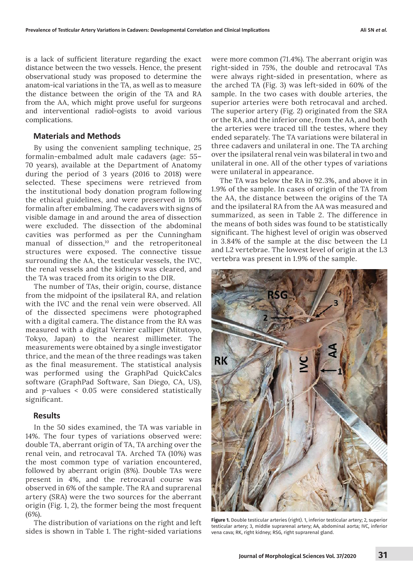is a lack of sufficient literature regarding the exact distance between the two vessels. Hence, the present observational study was proposed to determine the anatom-ical variations in the TA, as well as to measure the distance between the origin of the TA and RA from the AA, which might prove useful for surgeons and interventional radiol-ogists to avoid various complications.

## **Materials and Methods**

By using the convenient sampling technique, 25 formalin-embalmed adult male cadavers (age: 55– 70 years), available at the Department of Anatomy during the period of 3 years (2016 to 2018) were selected. These specimens were retrieved from the institutional body donation program following the ethical guidelines, and were preserved in 10% formalin after embalming. The cadavers with signs of visible damage in and around the area of dissection were excluded. The dissection of the abdominal cavities was performed as per the Cunningham manual of dissection,<sup>10</sup> and the retroperitoneal structures were exposed. The connective tissue surrounding the AA, the testicular vessels, the IVC, the renal vessels and the kidneys was cleared, and the TA was traced from its origin to the DIR.

The number of TAs, their origin, course, distance from the midpoint of the ipsilateral RA, and relation with the IVC and the renal vein were observed. All of the dissected specimens were photographed with a digital camera. The distance from the RA was measured with a digital Vernier calliper (Mitutoyo, Tokyo, Japan) to the nearest millimeter. The measurements were obtained by a single investigator thrice, and the mean of the three readings was taken as the final measurement. The statistical analysis was performed using the GraphPad QuickCalcs software (GraphPad Software, San Diego, CA, US), and *p*-values < 0.05 were considered statistically significant.

#### **Results**

In the 50 sides examined, the TA was variable in 14%. The four types of variations observed were: double TA, aberrant origin of TA, TA arching over the renal vein, and retrocaval TA. Arched TA (10%) was the most common type of variation encountered, followed by aberrant origin (8%). Double TAs were present in 4%, and the retrocaval course was observed in 6% of the sample. The RA and suprarenal artery (SRA) were the two sources for the aberrant origin (Fig. 1, 2), the former being the most frequent (6%).

The distribution of variations on the right and left sides is shown in Table 1. The right-sided variations were more common (71.4%). The aberrant origin was right-sided in 75%, the double and retrocaval TAs were always right-sided in presentation, where as the arched TA (Fig. 3) was left-sided in 60% of the sample. In the two cases with double arteries, the superior arteries were both retrocaval and arched. The superior artery (Fig. 2) originated from the SRA or the RA, and the inferior one, from the AA, and both the arteries were traced till the testes, where they ended separately. The TA variations were bilateral in three cadavers and unilateral in one. The TA arching over the ipsilateral renal vein was bilateral in two and unilateral in one. All of the other types of variations were unilateral in appearance.

The TA was below the RA in 92.3%, and above it in 1.9% of the sample. In cases of origin of the TA from the AA, the distance between the origins of the TA and the ipsilateral RA from the AA was measured and summarized, as seen in Table 2. The difference in the means of both sides was found to be statistically significant. The highest level of origin was observed in 3.84% of the sample at the disc between the L1 and L2 vertebrae. The lowest level of origin at the L3 vertebra was present in 1.9% of the sample.



**Figure 1.** Double testicular arteries (right). 1, inferior testicular artery; 2, superior testicular artery; 3, middle suprarenal artery; AA, abdominal aorta; IVC, inferior vena cava; RK, right kidney; RSG, right suprarenal gland.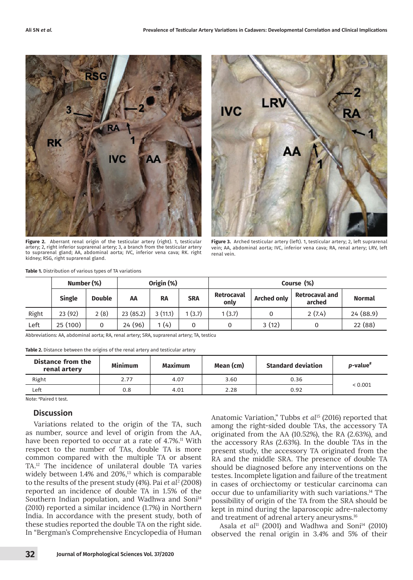

**Figure 2.** Aberrant renal origin of the testicular artery (right). 1, testicular artery; 2, right inferior suprarenal artery; 3, a branch from the testicular artery to suprarenal gland; AA, abdominal aorta; IVC, inferior vena cava; RK. right kidney; RSG, right suprarenal gland.



**Figure 3.** Arched testicular artery (left). 1, testicular artery; 2, left suprarenal vein; AA, abdominal aorta; IVC, inferior vena cava; RA, renal artery; LRV, left renal vein.

|       | Number (%)    |               | Origin (%) |           |            | Course (%)                |                    |                                 |               |
|-------|---------------|---------------|------------|-----------|------------|---------------------------|--------------------|---------------------------------|---------------|
|       | <b>Single</b> | <b>Double</b> | AA         | <b>RA</b> | <b>SRA</b> | <b>Retrocaval</b><br>only | <b>Arched only</b> | <b>Retrocaval and</b><br>arched | <b>Normal</b> |
| Right | 23 (92)       | 2(8)          | 23(85.2)   | 3(11.1)   | (3.7)      | 1(3.7)                    |                    | 2(7.4)                          | 24(88.9)      |
| Left  | 25(100)       | 0             | 24 (96)    | 1(4)      |            | 0                         | 3(12)              | 0                               | 22 (88)       |

Abbreviations: AA, abdominal aorta; RA, renal artery; SRA, suprarenal artery; TA, testicu

**Table 2.** Distance between the origins of the renal artery and testicular artery

| Distance from the<br>renal artery | <b>Minimum</b> | <b>Maximum</b> | Mean (cm) | <b>Standard deviation</b> | <i>p</i> -value <sup>#</sup> |  |
|-----------------------------------|----------------|----------------|-----------|---------------------------|------------------------------|--|
| Right                             | 2.77           | 4.07           | 3.60      | 0.36                      |                              |  |
| Left                              | 0.8            | 4.01           | 2.28      | 0.92                      | < 0.001                      |  |

Note: # Paired t test.

### **Discussion**

Variations related to the origin of the TA, such as number, source and level of origin from the AA, have been reported to occur at a rate of 4.7%.<sup>11</sup> With respect to the number of TAs, double TA is more common compared with the multiple TA or absent TA.12 The incidence of unilateral double TA varies widely between 1.4% and 20%,<sup>13</sup> which is comparable to the results of the present study (4%). Pai *et al*<sup>2</sup> (2008) reported an incidence of double TA in 1.5% of the Southern Indian population, and Wadhwa and Soni<sup>14</sup> (2010) reported a similar incidence (1.7%) in Northern India. In accordance with the present study, both of these studies reported the double TA on the right side. In "Bergman's Comprehensive Encyclopedia of Human

Anatomic Variation," Tubbs *et al*15 (2016) reported that among the right-sided double TAs, the accessory TA originated from the AA (10.52%), the RA (2.63%), and the accessory RAs (2.63%). In the double TAs in the present study, the accessory TA originated from the RA and the middle SRA. The presence of double TA should be diagnosed before any interventions on the testes. Incomplete ligation and failure of the treatment in cases of orchiectomy or testicular carcinoma can occur due to unfamiliarity with such variations.14 The possibility of origin of the TA from the SRA should be kept in mind during the laparoscopic adre-nalectomy and treatment of adrenal artery aneurysms.16

Asala *et al*<sup>11</sup> (2001) and Wadhwa and Soni<sup>14</sup> (2010) observed the renal origin in 3.4% and 5% of their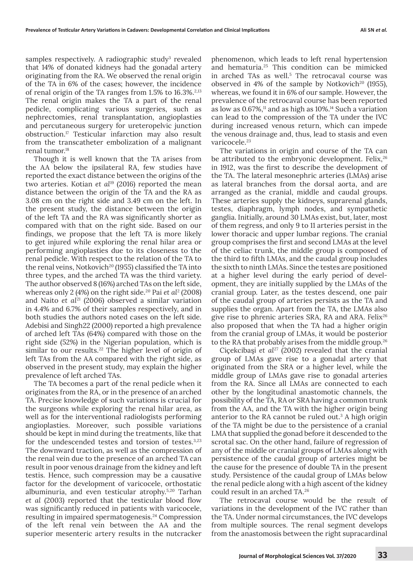samples respectively. A radiographic study $^3$  revealed that 14% of donated kidneys had the gonadal artery originating from the RA. We observed the renal origin of the TA in 6% of the cases; however, the incidence of renal origin of the TA ranges from  $1.5\%$  to  $16.3\%$ <sup>2,13</sup> The renal origin makes the TA a part of the renal pedicle, complicating various surgeries, such as nephrectomies, renal transplantation, angioplasties and percutaneous surgery for ureteropelvic junction obstruction.17 Testicular infarction may also result from the transcatheter embolization of a malignant renal tumor.<sup>18</sup>

Though it is well known that the TA arises from the AA below the ipsilateral RA, few studies have reported the exact distance between the origins of the two arteries. Kotian *et al*19 (2016) reported the mean distance between the origin of the TA and the RA as 3.08 cm on the right side and 3.49 cm on the left. In the present study, the distance between the origin of the left TA and the RA was significantly shorter as compared with that on the right side. Based on our findings, we propose that the left TA is more likely to get injured while exploring the renal hilar area or performing angioplasties due to its closeness to the renal pedicle. With respect to the relation of the TA to the renal veins, Notkovich<sup>20</sup> (1955) classified the TA into three types, and the arched TA was the third variety. The author observed 8 (16%) arched TAs on the left side, whereas only 2 (4%) on the right side.<sup>20</sup> Pai *et al<sup>2</sup>* (2008) and Naito *et al*<sup>21</sup> (2006) observed a similar variation in 4.4% and 6.7% of their samples respectively, and in both studies the authors noted cases on the left side. Adebisi and Singh22 (2000) reported a high prevalence of arched left TAs (64%) compared with those on the right side (52%) in the Nigerian population, which is similar to our results.<sup>22</sup> The higher level of origin of left TAs from the AA compared with the right side, as observed in the present study, may explain the higher prevalence of left arched TAs.

The TA becomes a part of the renal pedicle when it originates from the RA, or in the presence of an arched TA. Precise knowledge of such variations is crucial for the surgeons while exploring the renal hilar area, as well as for the interventional radiologists performing angioplasties. Moreover, such possible variations should be kept in mind during the treatments, like that for the undescended testes and torsion of testes.3,23 The downward traction, as well as the compression of the renal vein due to the presence of an arched TA can result in poor venous drainage from the kidney and left testis. Hence, such compression may be a causative factor for the development of varicocele, orthostatic albuminuria, and even testicular atrophy.5,20 Tarhan *et al* (2003) reported that the testicular blood flow was significantly reduced in patients with varicocele, resulting in impaired spermatogenesis.24 Compression of the left renal vein between the AA and the superior mesenteric artery results in the nutcracker

phenomenon, which leads to left renal hypertension and hematuria.25 This condition can be mimicked in arched TAs as well.<sup>5</sup> The retrocaval course was observed in 4% of the sample by Notkovich<sup>20</sup> (1955), whereas, we found it in 6% of our sample. However, the prevalence of the retrocaval course has been reported as low as  $0.67\%,$ <sup>11</sup> and as high as  $10\%$ .<sup>14</sup> Such a variation can lead to the compression of the TA under the IVC during increased venous return, which can impede the venous drainage and, thus, lead to stasis and even varicocele.<sup>23</sup>

The variations in origin and course of the TA can be attributed to the embryonic development. Felix,<sup>26</sup> in 1912, was the first to describe the development of the TA. The lateral mesonephric arteries (LMAs) arise as lateral branches from the dorsal aorta, and are arranged as the cranial, middle and caudal groups. These arteries supply the kidneys, suprarenal glands, testes, diaphragm, lymph nodes, and sympathetic ganglia. Initially, around 30 LMAs exist, but, later, most of them regress, and only 9 to 11 arteries persist in the lower thoracic and upper lumbar regions. The cranial group comprises the first and second LMAs at the level of the celiac trunk, the middle group is composed of the third to fifth LMAs, and the caudal group includes the sixth to ninth LMAs. Since the testes are positioned at a higher level during the early period of development, they are initially supplied by the LMAs of the cranial group. Later, as the testes descend, one pair of the caudal group of arteries persists as the TA and supplies the organ. Apart from the TA, the LMAs also give rise to phrenic arteries SRA, RA and ARA. Felix<sup>26</sup> also proposed that when the TA had a higher origin from the cranial group of LMAs, it would be posterior to the RA that probably arises from the middle group.<sup>26</sup>

Ciçekcibaşi *et al*27 (2002) revealed that the cranial group of LMAs gave rise to a gonadal artery that originated from the SRA or a higher level, while the middle group of LMAs gave rise to gonadal arteries from the RA. Since all LMAs are connected to each other by the longitudinal anastomotic channels, the possibility of the TA, RA or SRA having a common trunk from the AA, and the TA with the higher origin being anterior to the RA cannot be ruled out.<sup>3</sup> A high origin of the TA might be due to the persistence of a cranial LMA that supplied the gonad before it descended to the scrotal sac. On the other hand, failure of regression of any of the middle or cranial groups of LMAs along with persistence of the caudal group of arteries might be the cause for the presence of double TA in the present study. Persistence of the caudal group of LMAs below the renal pedicle along with a high ascent of the kidney could result in an arched TA.26

The retrocaval course would be the result of variations in the development of the IVC rather than the TA. Under normal circumstances, the IVC develops from multiple sources. The renal segment develops from the anastomosis between the right supracardinal